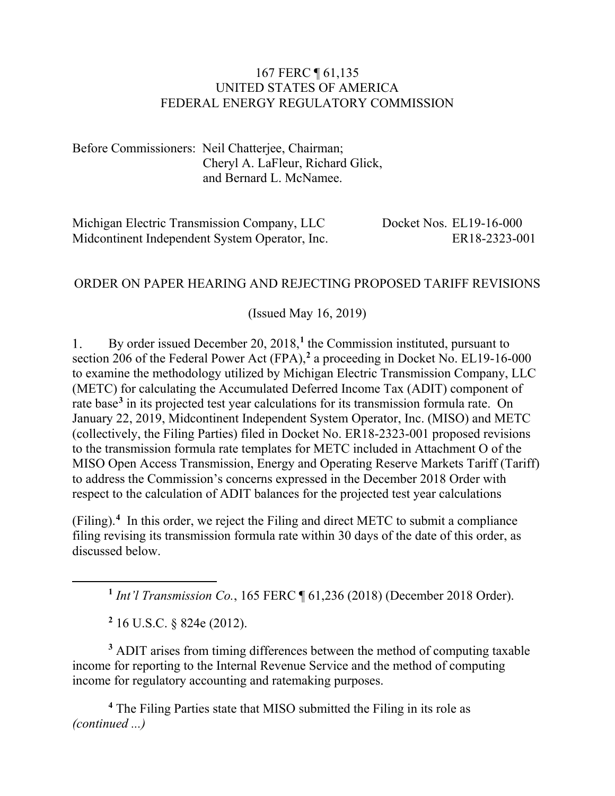#### 167 FERC ¶ 61,135 UNITED STATES OF AMERICA FEDERAL ENERGY REGULATORY COMMISSION

Before Commissioners: Neil Chatterjee, Chairman; Cheryl A. LaFleur, Richard Glick, and Bernard L. McNamee.

| Michigan Electric Transmission Company, LLC    | Docket Nos. EL19-16-000 |
|------------------------------------------------|-------------------------|
| Midcontinent Independent System Operator, Inc. | ER18-2323-001           |

#### ORDER ON PAPER HEARING AND REJECTING PROPOSED TARIFF REVISIONS

(Issued May 16, 2019)

By order issued December 20, 2018, **[1](#page-0-0)** the Commission instituted, pursuant to 1. section 206 of the Federal Power Act (FPA),**[2](#page-0-1)** a proceeding in Docket No. EL19-16-000 to examine the methodology utilized by Michigan Electric Transmission Company, LLC (METC) for calculating the Accumulated Deferred Income Tax (ADIT) component of rate base**[3](#page-0-2)** in its projected test year calculations for its transmission formula rate. On January 22, 2019, Midcontinent Independent System Operator, Inc. (MISO) and METC (collectively, the Filing Parties) filed in Docket No. ER18-2323-001 proposed revisions to the transmission formula rate templates for METC included in Attachment O of the MISO Open Access Transmission, Energy and Operating Reserve Markets Tariff (Tariff) to address the Commission's concerns expressed in the December 2018 Order with respect to the calculation of ADIT balances for the projected test year calculations

(Filing).**[4](#page-0-3)** In this order, we reject the Filing and direct METC to submit a compliance filing revising its transmission formula rate within 30 days of the date of this order, as discussed below.

**<sup>1</sup>** *Int'l Transmission Co.*, 165 FERC ¶ 61,236 (2018) (December 2018 Order).

**<sup>2</sup>** 16 U.S.C. § 824e (2012).

<span id="page-0-0"></span> $\overline{a}$ 

<span id="page-0-2"></span><span id="page-0-1"></span>**<sup>3</sup>** ADIT arises from timing differences between the method of computing taxable income for reporting to the Internal Revenue Service and the method of computing income for regulatory accounting and ratemaking purposes.

<span id="page-0-3"></span>**<sup>4</sup>** The Filing Parties state that MISO submitted the Filing in its role as *(continued ...)*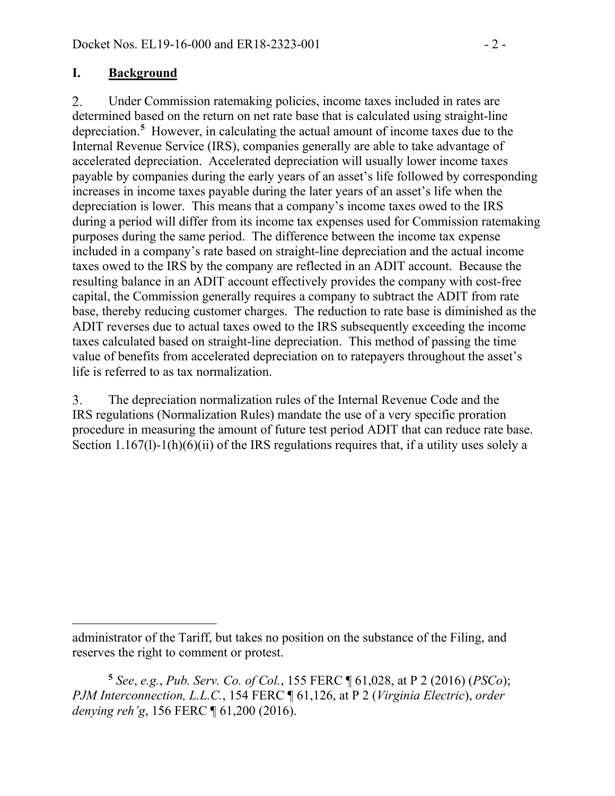#### **I. Background**

2. Under Commission ratemaking policies, income taxes included in rates are determined based on the return on net rate base that is calculated using straight-line depreciation.**[5](#page-1-0)** However, in calculating the actual amount of income taxes due to the Internal Revenue Service (IRS), companies generally are able to take advantage of accelerated depreciation. Accelerated depreciation will usually lower income taxes payable by companies during the early years of an asset's life followed by corresponding increases in income taxes payable during the later years of an asset's life when the depreciation is lower. This means that a company's income taxes owed to the IRS during a period will differ from its income tax expenses used for Commission ratemaking purposes during the same period. The difference between the income tax expense included in a company's rate based on straight-line depreciation and the actual income taxes owed to the IRS by the company are reflected in an ADIT account. Because the resulting balance in an ADIT account effectively provides the company with cost-free capital, the Commission generally requires a company to subtract the ADIT from rate base, thereby reducing customer charges. The reduction to rate base is diminished as the ADIT reverses due to actual taxes owed to the IRS subsequently exceeding the income taxes calculated based on straight-line depreciation. This method of passing the time value of benefits from accelerated depreciation on to ratepayers throughout the asset's life is referred to as tax normalization.

The depreciation normalization rules of the Internal Revenue Code and the 3. IRS regulations (Normalization Rules) mandate the use of a very specific proration procedure in measuring the amount of future test period ADIT that can reduce rate base. Section 1.167(1)-1(h)(6)(ii) of the IRS regulations requires that, if a utility uses solely a

 $\overline{a}$ administrator of the Tariff, but takes no position on the substance of the Filing, and reserves the right to comment or protest.

<span id="page-1-0"></span>**<sup>5</sup>** *See*, *e.g.*, *Pub. Serv. Co. of Col.*, 155 FERC ¶ 61,028, at P 2 (2016) (*PSCo*); *PJM Interconnection, L.L.C.*, 154 FERC ¶ 61,126, at P 2 (*Virginia Electric*), *order denying reh'g*, 156 FERC ¶ 61,200 (2016).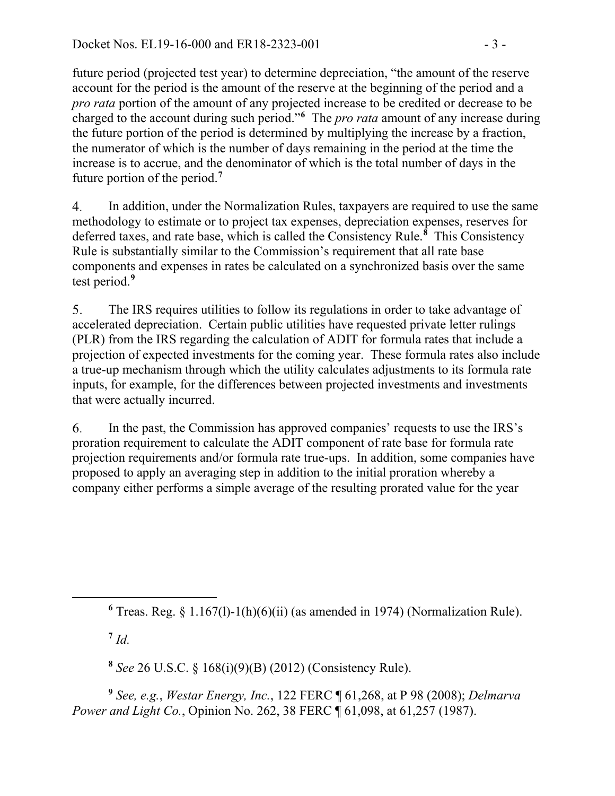future period (projected test year) to determine depreciation, "the amount of the reserve account for the period is the amount of the reserve at the beginning of the period and a *pro rata* portion of the amount of any projected increase to be credited or decrease to be charged to the account during such period."**[6](#page-2-0)** The *pro rata* amount of any increase during the future portion of the period is determined by multiplying the increase by a fraction, the numerator of which is the number of days remaining in the period at the time the increase is to accrue, and the denominator of which is the total number of days in the future portion of the period.**[7](#page-2-1)**

In addition, under the Normalization Rules, taxpayers are required to use the same  $\overline{4}$ . methodology to estimate or to project tax expenses, depreciation expenses, reserves for deferred taxes, and rate base, which is called the Consistency Rule.**[8](#page-2-2)** This Consistency Rule is substantially similar to the Commission's requirement that all rate base components and expenses in rates be calculated on a synchronized basis over the same test period.**[9](#page-2-3)**

5. The IRS requires utilities to follow its regulations in order to take advantage of accelerated depreciation. Certain public utilities have requested private letter rulings (PLR) from the IRS regarding the calculation of ADIT for formula rates that include a projection of expected investments for the coming year. These formula rates also include a true-up mechanism through which the utility calculates adjustments to its formula rate inputs, for example, for the differences between projected investments and investments that were actually incurred.

In the past, the Commission has approved companies' requests to use the IRS's 6. proration requirement to calculate the ADIT component of rate base for formula rate projection requirements and/or formula rate true-ups. In addition, some companies have proposed to apply an averaging step in addition to the initial proration whereby a company either performs a simple average of the resulting prorated value for the year

**<sup>6</sup>** Treas. Reg. § 1.167(l)-1(h)(6)(ii) (as amended in 1974) (Normalization Rule).

**<sup>7</sup>** *Id.*

<span id="page-2-1"></span><span id="page-2-0"></span>

**<sup>8</sup>** *See* 26 U.S.C. § 168(i)(9)(B) (2012) (Consistency Rule).

<span id="page-2-3"></span><span id="page-2-2"></span>**<sup>9</sup>** *See, e.g.*, *Westar Energy, Inc.*, 122 FERC ¶ 61,268, at P 98 (2008); *Delmarva Power and Light Co.*, [Opinion No. 262,](javascript:void(0)) 38 FERC ¶ [61,098, at 61,257](javascript:void(0)) (1987).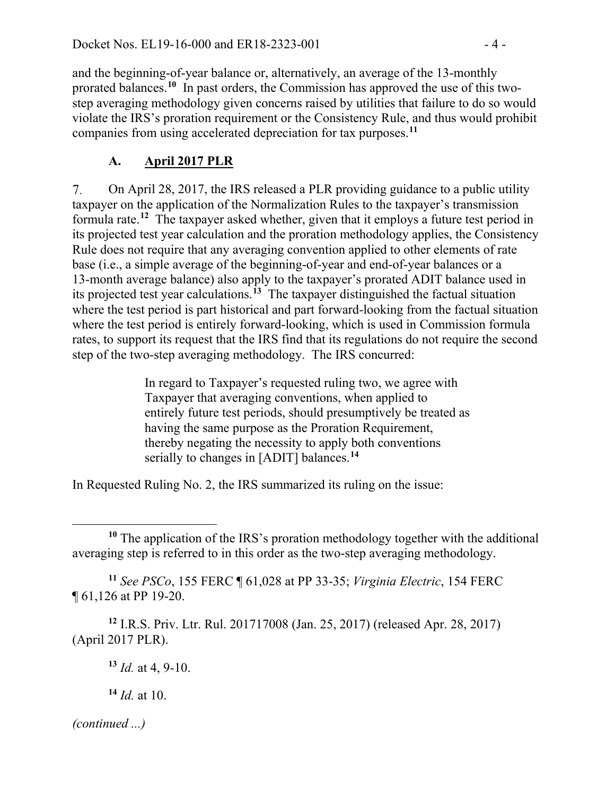and the beginning-of-year balance or, alternatively, an average of the 13-monthly prorated balances. **[10](#page-3-0)** In past orders, the Commission has approved the use of this twostep averaging methodology given concerns raised by utilities that failure to do so would violate the IRS's proration requirement or the Consistency Rule, and thus would prohibit companies from using accelerated depreciation for tax purposes.**[11](#page-3-1)**

### **A. April 2017 PLR**

On April 28, 2017, the IRS released a PLR providing guidance to a public utility 7. taxpayer on the application of the Normalization Rules to the taxpayer's transmission formula rate. **[12](#page-3-2)** The taxpayer asked whether, given that it employs a future test period in its projected test year calculation and the proration methodology applies, the Consistency Rule does not require that any averaging convention applied to other elements of rate base (i.e., a simple average of the beginning-of-year and end-of-year balances or a 13-month average balance) also apply to the taxpayer's prorated ADIT balance used in its projected test year calculations.**[13](#page-3-3)** The taxpayer distinguished the factual situation where the test period is part historical and part forward-looking from the factual situation where the test period is entirely forward-looking, which is used in Commission formula rates, to support its request that the IRS find that its regulations do not require the second step of the two-step averaging methodology. The IRS concurred:

> In regard to Taxpayer's requested ruling two, we agree with Taxpayer that averaging conventions, when applied to entirely future test periods, should presumptively be treated as having the same purpose as the Proration Requirement, thereby negating the necessity to apply both conventions serially to changes in [ADIT] balances.**[14](#page-3-4)**

In Requested Ruling No. 2, the IRS summarized its ruling on the issue:

<span id="page-3-1"></span>**<sup>11</sup>** *See PSCo*, 155 FERC ¶ 61,028 at PP 33-35; *Virginia Electric*, 154 FERC ¶ 61,126 at PP 19-20.

<span id="page-3-3"></span><span id="page-3-2"></span>**<sup>12</sup>** I.R.S. Priv. Ltr. Rul. 201717008 (Jan. 25, 2017) (released Apr. 28, 2017) (April 2017 PLR).

**<sup>14</sup>** *Id.* at 10.

<span id="page-3-4"></span>*(continued ...)*

<span id="page-3-0"></span>**<sup>10</sup>** The application of the IRS's proration methodology together with the additional averaging step is referred to in this order as the two-step averaging methodology.

**<sup>13</sup>** *Id.* at 4, 9-10.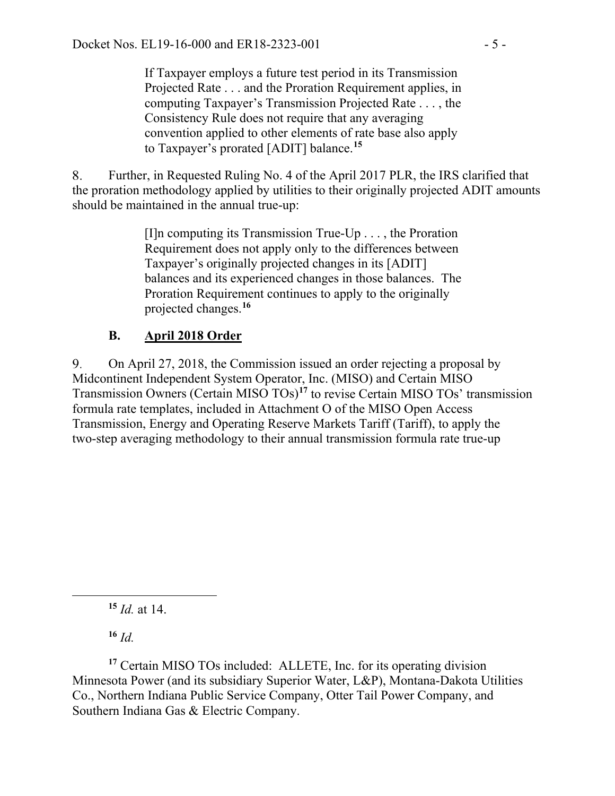If Taxpayer employs a future test period in its Transmission Projected Rate . . . and the Proration Requirement applies, in computing Taxpayer's Transmission Projected Rate . . . , the Consistency Rule does not require that any averaging convention applied to other elements of rate base also apply to Taxpayer's prorated [ADIT] balance.**[15](#page-4-0)**

Further, in Requested Ruling No. 4 of the April 2017 PLR, the IRS clarified that 8. the proration methodology applied by utilities to their originally projected ADIT amounts should be maintained in the annual true-up:

> $[1]$ n computing its Transmission True-Up . . . , the Proration Requirement does not apply only to the differences between Taxpayer's originally projected changes in its [ADIT] balances and its experienced changes in those balances. The Proration Requirement continues to apply to the originally projected changes.**[16](#page-4-1)**

### **B. April 2018 Order**

On April 27, 2018, the Commission issued an order rejecting a proposal by 9. Midcontinent Independent System Operator, Inc. (MISO) and Certain MISO Transmission Owners (Certain MISO TOs)**[17](#page-4-2)** to revise Certain MISO TOs' transmission formula rate templates, included in Attachment O of the MISO Open Access Transmission, Energy and Operating Reserve Markets Tariff (Tariff), to apply the two-step averaging methodology to their annual transmission formula rate true-up

**<sup>15</sup>** *Id.* at 14.

**<sup>16</sup>** *Id.*

<span id="page-4-0"></span> $\overline{a}$ 

<span id="page-4-2"></span><span id="page-4-1"></span>**<sup>17</sup>** Certain MISO TOs included: ALLETE, Inc. for its operating division Minnesota Power (and its subsidiary Superior Water, L&P), Montana-Dakota Utilities Co., Northern Indiana Public Service Company, Otter Tail Power Company, and Southern Indiana Gas & Electric Company.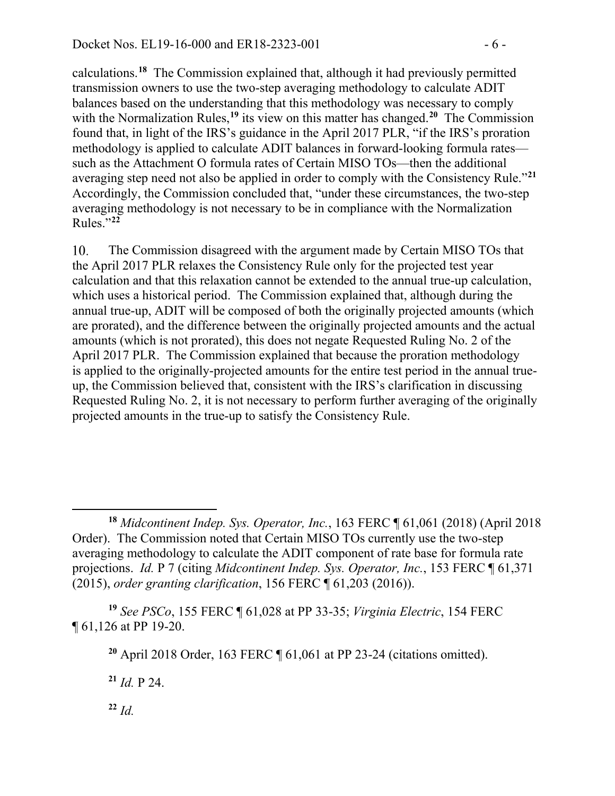calculations.**[18](#page-5-0)** The Commission explained that, although it had previously permitted transmission owners to use the two-step averaging methodology to calculate ADIT balances based on the understanding that this methodology was necessary to comply with the Normalization Rules,<sup>[19](#page-5-1)</sup> its view on this matter has changed.<sup>[20](#page-5-2)</sup> The Commission found that, in light of the IRS's guidance in the April 2017 PLR, "if the IRS's proration methodology is applied to calculate ADIT balances in forward-looking formula rates such as the Attachment O formula rates of Certain MISO TOs—then the additional averaging step need not also be applied in order to comply with the Consistency Rule."**[21](#page-5-3)** Accordingly, the Commission concluded that, "under these circumstances, the two-step averaging methodology is not necessary to be in compliance with the Normalization Rules."**[22](#page-5-4)**

10. The Commission disagreed with the argument made by Certain MISO TOs that the April 2017 PLR relaxes the Consistency Rule only for the projected test year calculation and that this relaxation cannot be extended to the annual true-up calculation, which uses a historical period. The Commission explained that, although during the annual true-up, ADIT will be composed of both the originally projected amounts (which are prorated), and the difference between the originally projected amounts and the actual amounts (which is not prorated), this does not negate Requested Ruling No. 2 of the April 2017 PLR. The Commission explained that because the proration methodology is applied to the originally-projected amounts for the entire test period in the annual trueup, the Commission believed that, consistent with the IRS's clarification in discussing Requested Ruling No. 2, it is not necessary to perform further averaging of the originally projected amounts in the true-up to satisfy the Consistency Rule.

<span id="page-5-3"></span><span id="page-5-2"></span><span id="page-5-1"></span>**<sup>19</sup>** *See PSCo*, 155 FERC ¶ 61,028 at PP 33-35; *Virginia Electric*, 154 FERC ¶ 61,126 at PP 19-20.

**<sup>20</sup>** April 2018 Order, 163 FERC ¶ 61,061 at PP 23-24 (citations omitted).

**<sup>21</sup>** *Id.* P 24.

<span id="page-5-4"></span>**<sup>22</sup>** *Id.*

<span id="page-5-0"></span>**<sup>18</sup>** *Midcontinent Indep. Sys. Operator, Inc.*, 163 FERC ¶ 61,061 (2018) (April 2018 Order). The Commission noted that Certain MISO TOs currently use the two-step averaging methodology to calculate the ADIT component of rate base for formula rate projections. *Id.* P 7 (citing *Midcontinent Indep. Sys. Operator, Inc.*, 153 FERC ¶ 61,371 (2015), *order granting clarification*, 156 FERC ¶ 61,203 (2016)).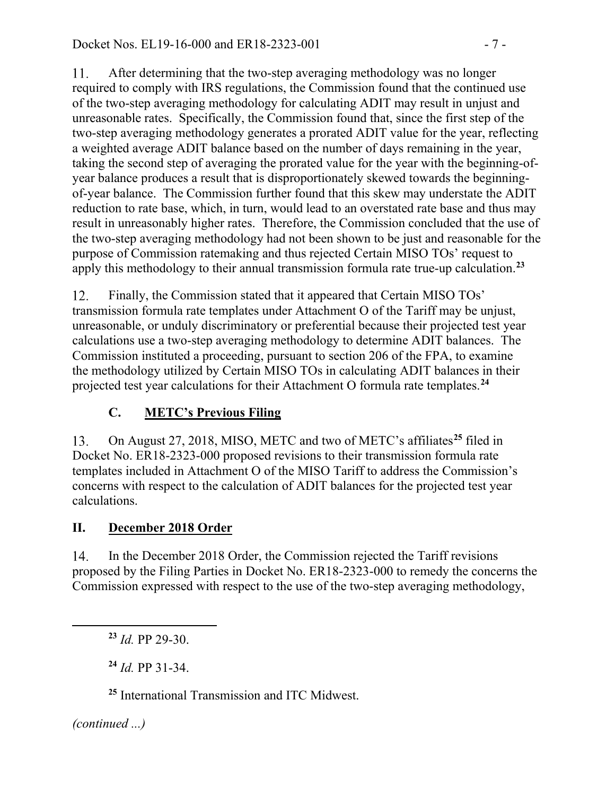$11.$ After determining that the two-step averaging methodology was no longer required to comply with IRS regulations, the Commission found that the continued use of the two-step averaging methodology for calculating ADIT may result in unjust and unreasonable rates. Specifically, the Commission found that, since the first step of the two-step averaging methodology generates a prorated ADIT value for the year, reflecting a weighted average ADIT balance based on the number of days remaining in the year, taking the second step of averaging the prorated value for the year with the beginning-ofyear balance produces a result that is disproportionately skewed towards the beginningof-year balance. The Commission further found that this skew may understate the ADIT reduction to rate base, which, in turn, would lead to an overstated rate base and thus may result in unreasonably higher rates. Therefore, the Commission concluded that the use of the two-step averaging methodology had not been shown to be just and reasonable for the purpose of Commission ratemaking and thus rejected Certain MISO TOs' request to apply this methodology to their annual transmission formula rate true-up calculation.**[23](#page-6-0)**

12. Finally, the Commission stated that it appeared that Certain MISO TOs' transmission formula rate templates under Attachment O of the Tariff may be unjust, unreasonable, or unduly discriminatory or preferential because their projected test year calculations use a two-step averaging methodology to determine ADIT balances. The Commission instituted a proceeding, pursuant to section 206 of the FPA, to examine the methodology utilized by Certain MISO TOs in calculating ADIT balances in their projected test year calculations for their Attachment O formula rate templates.**[24](#page-6-1)**

## **C. METC's Previous Filing**

On August 27, 2018, MISO, METC and two of METC's affiliates**[25](#page-6-2)** filed in 13. Docket No. ER18-2323-000 proposed revisions to their transmission formula rate templates included in Attachment O of the MISO Tariff to address the Commission's concerns with respect to the calculation of ADIT balances for the projected test year calculations.

#### **II. December 2018 Order**

In the December 2018 Order, the Commission rejected the Tariff revisions 14. proposed by the Filing Parties in Docket No. ER18-2323-000 to remedy the concerns the Commission expressed with respect to the use of the two-step averaging methodology,

<span id="page-6-0"></span>**<sup>23</sup>** *Id.* PP 29-30.

**<sup>24</sup>** *Id.* PP 31-34.

**<sup>25</sup>** International Transmission and ITC Midwest.

<span id="page-6-2"></span><span id="page-6-1"></span>*(continued ...)*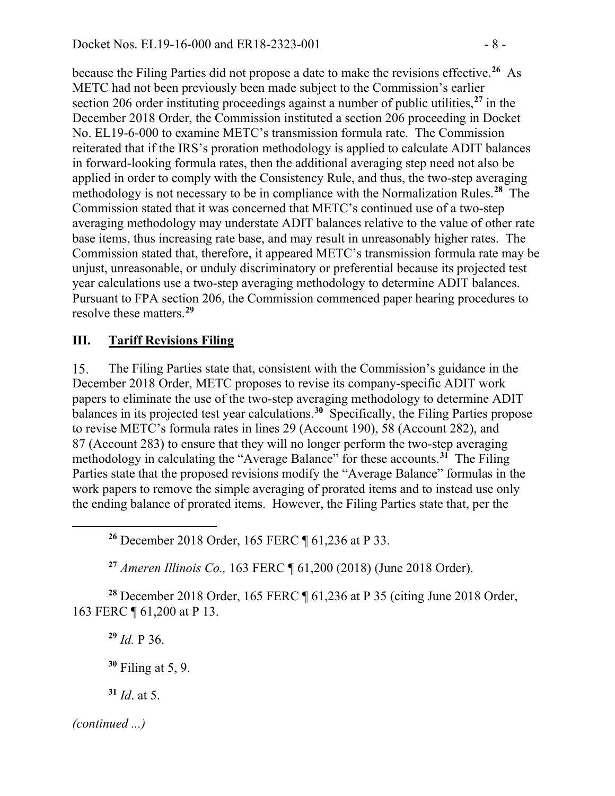because the Filing Parties did not propose a date to make the revisions effective.**[26](#page-7-0)** As METC had not been previously been made subject to the Commission's earlier section 206 order instituting proceedings against a number of public utilities,**[27](#page-7-1)** in the December 2018 Order, the Commission instituted a section 206 proceeding in Docket No. EL19-6-000 to examine METC's transmission formula rate. The Commission reiterated that if the IRS's proration methodology is applied to calculate ADIT balances in forward-looking formula rates, then the additional averaging step need not also be applied in order to comply with the Consistency Rule, and thus, the two-step averaging methodology is not necessary to be in compliance with the Normalization Rules. **[28](#page-7-2)** The Commission stated that it was concerned that METC's continued use of a two-step averaging methodology may understate ADIT balances relative to the value of other rate base items, thus increasing rate base, and may result in unreasonably higher rates. The Commission stated that, therefore, it appeared METC's transmission formula rate may be unjust, unreasonable, or unduly discriminatory or preferential because its projected test year calculations use a two-step averaging methodology to determine ADIT balances. Pursuant to FPA section 206, the Commission commenced paper hearing procedures to resolve these matters.**[29](#page-7-3)**

#### **III. Tariff Revisions Filing**

15. The Filing Parties state that, consistent with the Commission's guidance in the December 2018 Order, METC proposes to revise its company-specific ADIT work papers to eliminate the use of the two-step averaging methodology to determine ADIT balances in its projected test year calculations.<sup>[30](#page-7-4)</sup> Specifically, the Filing Parties propose to revise METC's formula rates in lines 29 (Account 190), 58 (Account 282), and 87 (Account 283) to ensure that they will no longer perform the two-step averaging methodology in calculating the "Average Balance" for these accounts.**[31](#page-7-5)** The Filing Parties state that the proposed revisions modify the "Average Balance" formulas in the work papers to remove the simple averaging of prorated items and to instead use only the ending balance of prorated items. However, the Filing Parties state that, per the

**<sup>26</sup>** December 2018 Order, 165 FERC ¶ 61,236 at P 33.

**<sup>27</sup>** *Ameren Illinois Co.,* 163 FERC ¶ 61,200 (2018) (June 2018 Order).

<span id="page-7-3"></span><span id="page-7-2"></span><span id="page-7-1"></span>**<sup>28</sup>** December 2018 Order, 165 FERC ¶ 61,236 at P 35 (citing June 2018 Order, 163 FERC ¶ 61,200 at P 13.

**<sup>29</sup>** *Id.* P 36.

**<sup>30</sup>** Filing at 5, 9.

**<sup>31</sup>** *Id*. at 5.

<span id="page-7-5"></span><span id="page-7-4"></span>*(continued ...)*

<span id="page-7-0"></span>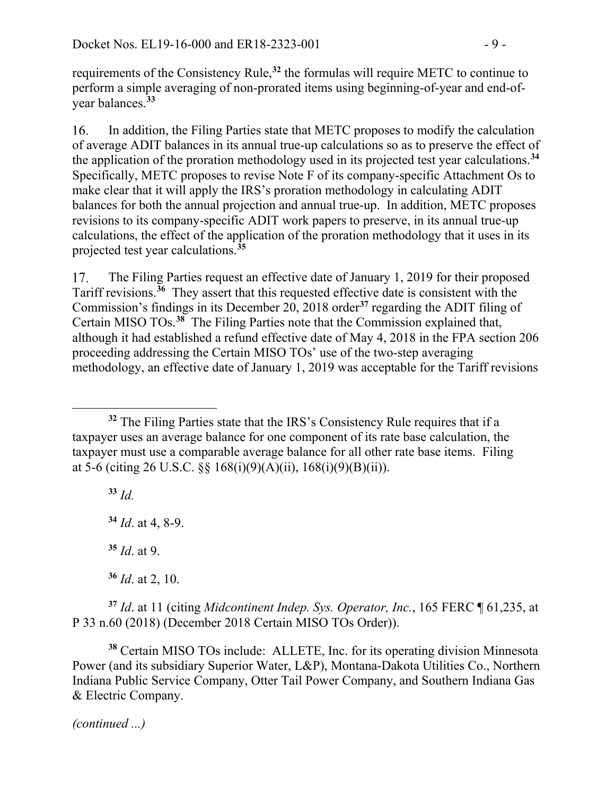requirements of the Consistency Rule,**[32](#page-8-0)** the formulas will require METC to continue to perform a simple averaging of non-prorated items using beginning-of-year and end-ofyear balances.**[33](#page-8-1)**

In addition, the Filing Parties state that METC proposes to modify the calculation 16. of average ADIT balances in its annual true-up calculations so as to preserve the effect of the application of the proration methodology used in its projected test year calculations.**[34](#page-8-2)** Specifically, METC proposes to revise Note F of its company-specific Attachment Os to make clear that it will apply the IRS's proration methodology in calculating ADIT balances for both the annual projection and annual true-up. In addition, METC proposes revisions to its company-specific ADIT work papers to preserve, in its annual true-up calculations, the effect of the application of the proration methodology that it uses in its projected test year calculations. **[35](#page-8-3)**

The Filing Parties request an effective date of January 1, 2019 for their proposed 17. Tariff revisions.**[36](#page-8-4)** They assert that this requested effective date is consistent with the Commission's findings in its December 20, 2018 order**[37](#page-8-5)** regarding the ADIT filing of Certain MISO TOs.**[38](#page-8-6)** The Filing Parties note that the Commission explained that, although it had established a refund effective date of May 4, 2018 in the FPA section 206 proceeding addressing the Certain MISO TOs' use of the two-step averaging methodology, an effective date of January 1, 2019 was acceptable for the Tariff revisions

<span id="page-8-1"></span>**<sup>33</sup>** *Id.*

<span id="page-8-2"></span>**<sup>34</sup>** *Id*. at 4, 8-9.

**<sup>35</sup>** *Id*. at 9.

**<sup>36</sup>** *Id*. at 2, 10.

<span id="page-8-5"></span><span id="page-8-4"></span><span id="page-8-3"></span>**<sup>37</sup>** *Id*. at 11 (citing *Midcontinent Indep. Sys. Operator, Inc.*, 165 FERC ¶ 61,235, at P 33 n.60 (2018) (December 2018 Certain MISO TOs Order)).

<span id="page-8-6"></span>**<sup>38</sup>** Certain MISO TOs include: ALLETE, Inc. for its operating division Minnesota Power (and its subsidiary Superior Water, L&P), Montana-Dakota Utilities Co., Northern Indiana Public Service Company, Otter Tail Power Company, and Southern Indiana Gas & Electric Company.

*(continued ...)*

<span id="page-8-0"></span> $\overline{a}$ **<sup>32</sup>** The Filing Parties state that the IRS's Consistency Rule requires that if a taxpayer uses an average balance for one component of its rate base calculation, the taxpayer must use a comparable average balance for all other rate base items. Filing at 5-6 (citing 26 U.S.C. §§ 168(i)(9)(A)(ii), 168(i)(9)(B)(ii)).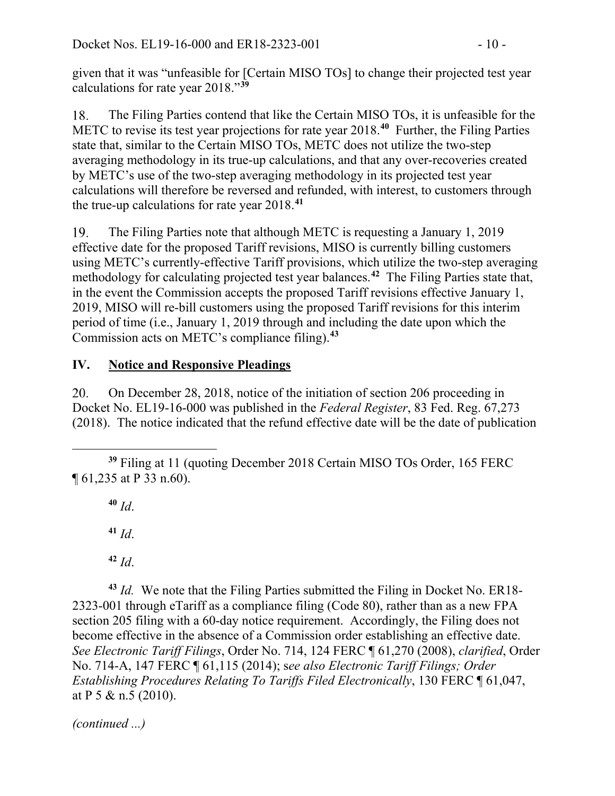given that it was "unfeasible for [Certain MISO TOs] to change their projected test year calculations for rate year 2018."**[39](#page-9-0)**

The Filing Parties contend that like the Certain MISO TOs, it is unfeasible for the 18. METC to revise its test year projections for rate year 2018.**[40](#page-9-1)** Further, the Filing Parties state that, similar to the Certain MISO TOs, METC does not utilize the two-step averaging methodology in its true-up calculations, and that any over-recoveries created by METC's use of the two-step averaging methodology in its projected test year calculations will therefore be reversed and refunded, with interest, to customers through the true-up calculations for rate year 2018.**[41](#page-9-2)**

The Filing Parties note that although METC is requesting a January 1, 2019 19. effective date for the proposed Tariff revisions, MISO is currently billing customers using METC's currently-effective Tariff provisions, which utilize the two-step averaging methodology for calculating projected test year balances.**[42](#page-9-3)** The Filing Parties state that, in the event the Commission accepts the proposed Tariff revisions effective January 1, 2019, MISO will re-bill customers using the proposed Tariff revisions for this interim period of time (i.e., January 1, 2019 through and including the date upon which the Commission acts on METC's compliance filing).**[43](#page-9-4)**

## **IV. Notice and Responsive Pleadings**

20. On December 28, 2018, notice of the initiation of section 206 proceeding in Docket No. EL19-16-000 was published in the *Federal Register*, 83 Fed. Reg. 67,273 (2018). The notice indicated that the refund effective date will be the date of publication

**<sup>40</sup>** *Id*.

**<sup>41</sup>** *Id*.

**<sup>42</sup>** *Id*.

<span id="page-9-4"></span><span id="page-9-3"></span><span id="page-9-2"></span>**<sup>43</sup>** *Id.* We note that the Filing Parties submitted the Filing in Docket No. ER18- 2323-001 through eTariff as a compliance filing (Code 80), rather than as a new FPA section 205 filing with a 60-day notice requirement. Accordingly, the Filing does not become effective in the absence of a Commission order establishing an effective date. *See Electronic Tariff Filings*, Order No. 714, 124 FERC ¶ 61,270 (2008), *clarified*, [Order](http://www.ferc.gov/whats-new/comm-meet/2014/051514/M-1.pdf)  [No. 714-A, 147 FERC ¶ 61,115](http://www.ferc.gov/whats-new/comm-meet/2014/051514/M-1.pdf) (2014); s*ee also Electronic Tariff Filings; Order Establishing Procedures Relating To Tariffs Filed Electronically*, 130 FERC ¶ 61,047, at P 5 & n.5 (2010).

*(continued ...)*

<span id="page-9-1"></span><span id="page-9-0"></span> $\overline{a}$ **<sup>39</sup>** Filing at 11 (quoting December 2018 Certain MISO TOs Order, 165 FERC ¶ 61,235 at P 33 n.60).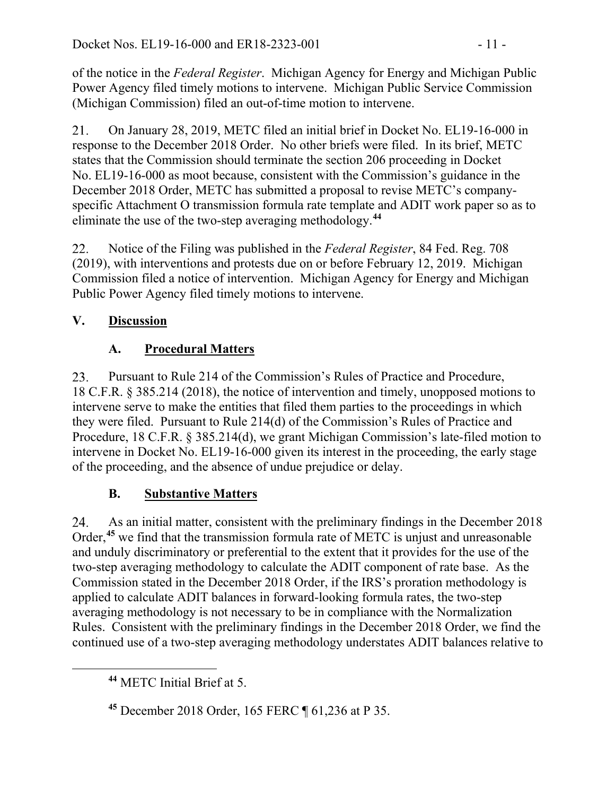of the notice in the *Federal Register*. Michigan Agency for Energy and Michigan Public Power Agency filed timely motions to intervene. Michigan Public Service Commission (Michigan Commission) filed an out-of-time motion to intervene.

On January 28, 2019, METC filed an initial brief in Docket No. EL19-16-000 in 21. response to the December 2018 Order. No other briefs were filed. In its brief, METC states that the Commission should terminate the section 206 proceeding in Docket No. EL19-16-000 as moot because, consistent with the Commission's guidance in the December 2018 Order, METC has submitted a proposal to revise METC's companyspecific Attachment O transmission formula rate template and ADIT work paper so as to eliminate the use of the two-step averaging methodology.**[44](#page-10-0)**

Notice of the Filing was published in the *Federal Register*, 84 Fed. Reg. 708 22. (2019), with interventions and protests due on or before February 12, 2019. Michigan Commission filed a notice of intervention. Michigan Agency for Energy and Michigan Public Power Agency filed timely motions to intervene.

### **V. Discussion**

### **A. Procedural Matters**

23. Pursuant to Rule 214 of the Commission's Rules of Practice and Procedure, 18 C.F.R. § 385.214 (2018), the notice of intervention and timely, unopposed motions to intervene serve to make the entities that filed them parties to the proceedings in which they were filed. Pursuant to Rule 214(d) of the Commission's Rules of Practice and Procedure, 18 C.F.R. § 385.214(d), we grant Michigan Commission's late-filed motion to intervene in Docket No. EL19-16-000 given its interest in the proceeding, the early stage of the proceeding, and the absence of undue prejudice or delay.

## **B. Substantive Matters**

24. As an initial matter, consistent with the preliminary findings in the December 2018 Order,**[45](#page-10-1)** we find that the transmission formula rate of METC is unjust and unreasonable and unduly discriminatory or preferential to the extent that it provides for the use of the two-step averaging methodology to calculate the ADIT component of rate base. As the Commission stated in the December 2018 Order, if the IRS's proration methodology is applied to calculate ADIT balances in forward-looking formula rates, the two-step averaging methodology is not necessary to be in compliance with the Normalization Rules. Consistent with the preliminary findings in the December 2018 Order, we find the continued use of a two-step averaging methodology understates ADIT balances relative to

<span id="page-10-0"></span>**<sup>44</sup>** METC Initial Brief at 5.

<span id="page-10-1"></span>**<sup>45</sup>** December 2018 Order, 165 FERC ¶ 61,236 at P 35.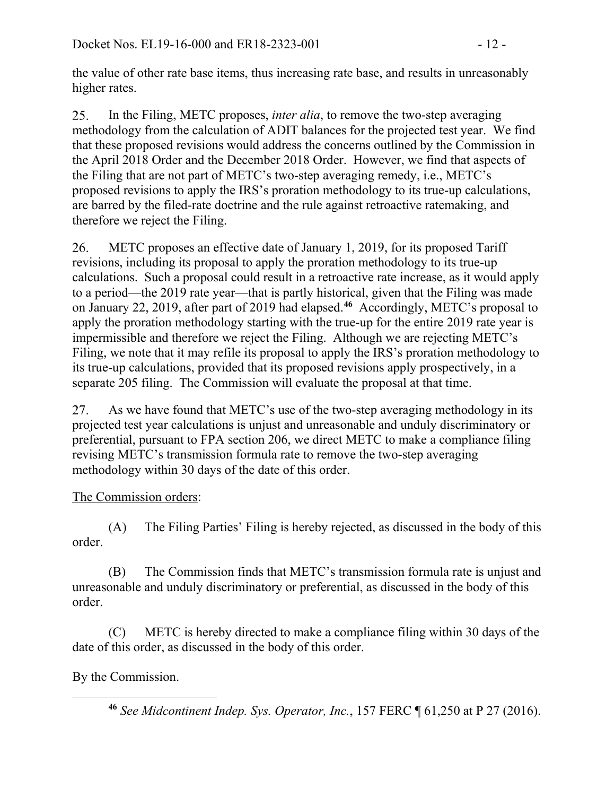the value of other rate base items, thus increasing rate base, and results in unreasonably higher rates.

In the Filing, METC proposes, *inter alia*, to remove the two-step averaging 25. methodology from the calculation of ADIT balances for the projected test year. We find that these proposed revisions would address the concerns outlined by the Commission in the April 2018 Order and the December 2018 Order. However, we find that aspects of the Filing that are not part of METC's two-step averaging remedy, i.e., METC's proposed revisions to apply the IRS's proration methodology to its true-up calculations, are barred by the filed-rate doctrine and the rule against retroactive ratemaking, and therefore we reject the Filing.

26. METC proposes an effective date of January 1, 2019, for its proposed Tariff revisions, including its proposal to apply the proration methodology to its true-up calculations. Such a proposal could result in a retroactive rate increase, as it would apply to a period—the 2019 rate year—that is partly historical, given that the Filing was made on January 22, 2019, after part of 2019 had elapsed.**[46](#page-11-0)** Accordingly, METC's proposal to apply the proration methodology starting with the true-up for the entire 2019 rate year is impermissible and therefore we reject the Filing. Although we are rejecting METC's Filing, we note that it may refile its proposal to apply the IRS's proration methodology to its true-up calculations, provided that its proposed revisions apply prospectively, in a separate 205 filing. The Commission will evaluate the proposal at that time.

27. As we have found that METC's use of the two-step averaging methodology in its projected test year calculations is unjust and unreasonable and unduly discriminatory or preferential, pursuant to FPA section 206, we direct METC to make a compliance filing revising METC's transmission formula rate to remove the two-step averaging methodology within 30 days of the date of this order.

#### The Commission orders:

(A) The Filing Parties' Filing is hereby rejected, as discussed in the body of this order.

(B) The Commission finds that METC's transmission formula rate is unjust and unreasonable and unduly discriminatory or preferential, as discussed in the body of this order.

(C) METC is hereby directed to make a compliance filing within 30 days of the date of this order, as discussed in the body of this order.

#### <span id="page-11-0"></span>By the Commission.

**<sup>46</sup>** *See Midcontinent Indep. Sys. Operator, Inc.*, 157 FERC ¶ 61,250 at P 27 (2016).